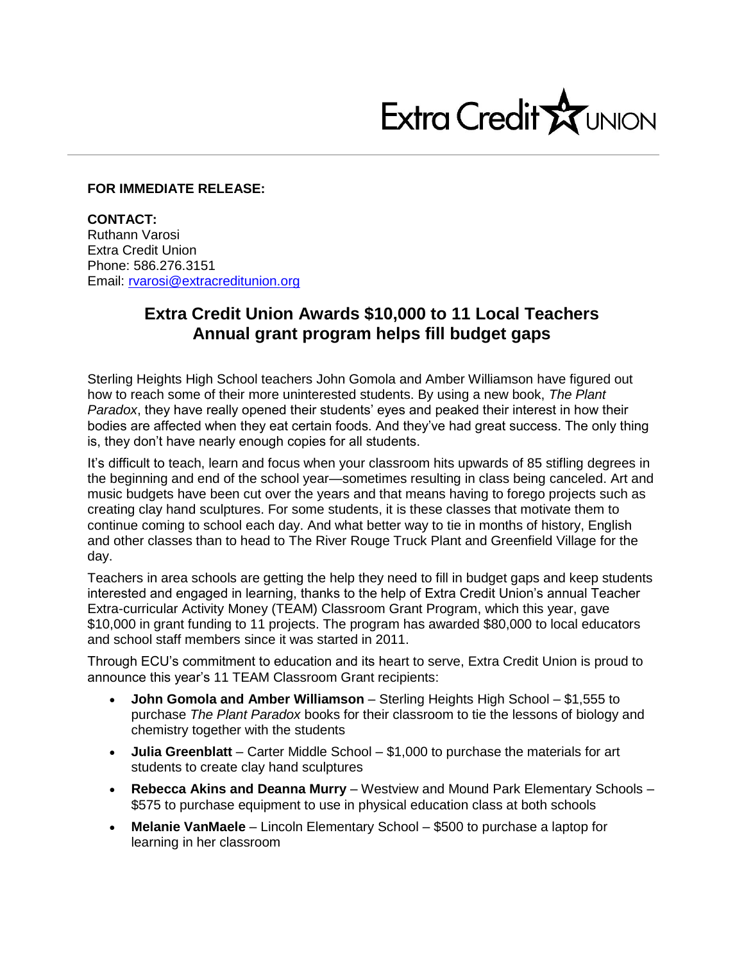

## **FOR IMMEDIATE RELEASE:**

**CONTACT:** Ruthann Varosi Extra Credit Union Phone: 586.276.3151 Email: [rvarosi@extracreditunion.org](mailto:rvarosi@extracreditunion.org)

## **Extra Credit Union Awards \$10,000 to 11 Local Teachers Annual grant program helps fill budget gaps**

Sterling Heights High School teachers John Gomola and Amber Williamson have figured out how to reach some of their more uninterested students. By using a new book, *The Plant Paradox*, they have really opened their students' eyes and peaked their interest in how their bodies are affected when they eat certain foods. And they've had great success. The only thing is, they don't have nearly enough copies for all students.

It's difficult to teach, learn and focus when your classroom hits upwards of 85 stifling degrees in the beginning and end of the school year—sometimes resulting in class being canceled. Art and music budgets have been cut over the years and that means having to forego projects such as creating clay hand sculptures. For some students, it is these classes that motivate them to continue coming to school each day. And what better way to tie in months of history, English and other classes than to head to The River Rouge Truck Plant and Greenfield Village for the day.

Teachers in area schools are getting the help they need to fill in budget gaps and keep students interested and engaged in learning, thanks to the help of Extra Credit Union's annual Teacher Extra-curricular Activity Money (TEAM) Classroom Grant Program, which this year, gave \$10,000 in grant funding to 11 projects. The program has awarded \$80,000 to local educators and school staff members since it was started in 2011.

Through ECU's commitment to education and its heart to serve, Extra Credit Union is proud to announce this year's 11 TEAM Classroom Grant recipients:

- **John Gomola and Amber Williamson**  Sterling Heights High School \$1,555 to purchase *The Plant Paradox* books for their classroom to tie the lessons of biology and chemistry together with the students
- **Julia Greenblatt**  Carter Middle School \$1,000 to purchase the materials for art students to create clay hand sculptures
- **Rebecca Akins and Deanna Murry**  Westview and Mound Park Elementary Schools \$575 to purchase equipment to use in physical education class at both schools
- **Melanie VanMaele**  Lincoln Elementary School \$500 to purchase a laptop for learning in her classroom